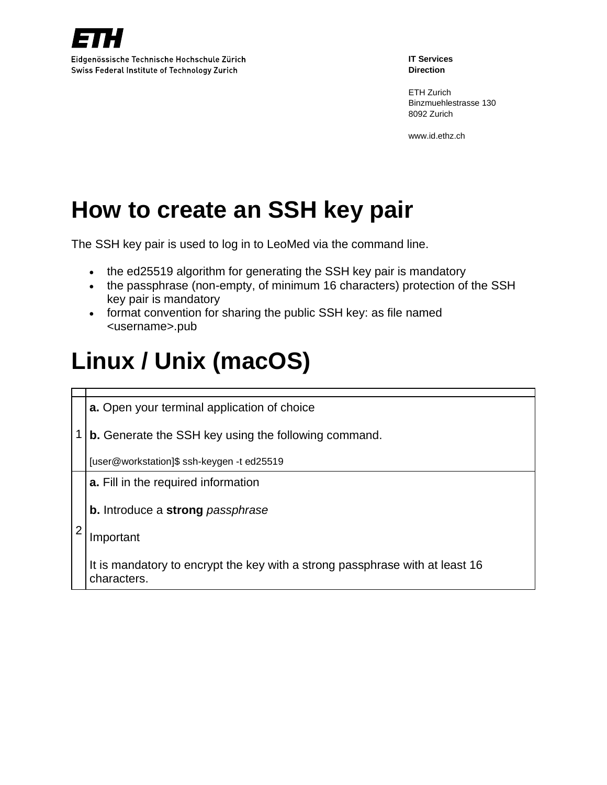

ETH Zurich Binzmuehlestrasse 130 8092 Zurich

www.id.ethz.ch

## **How to create an SSH key pair**

The SSH key pair is used to log in to LeoMed via the command line.

- the ed25519 algorithm for generating the SSH key pair is mandatory
- the passphrase (non-empty, of minimum 16 characters) protection of the SSH key pair is mandatory
- format convention for sharing the public SSH key: as file named <username>.pub

# **Linux / Unix (macOS)**

1 **b.** Generate the SSH key using the following command. **a.** Open your terminal application of choice [user@workstation]\$ ssh-keygen -t ed25519 2 **a.** Fill in the required information **b.** Introduce a **strong** *passphrase* Important It is mandatory to encrypt the key with a strong passphrase with at least 16 characters.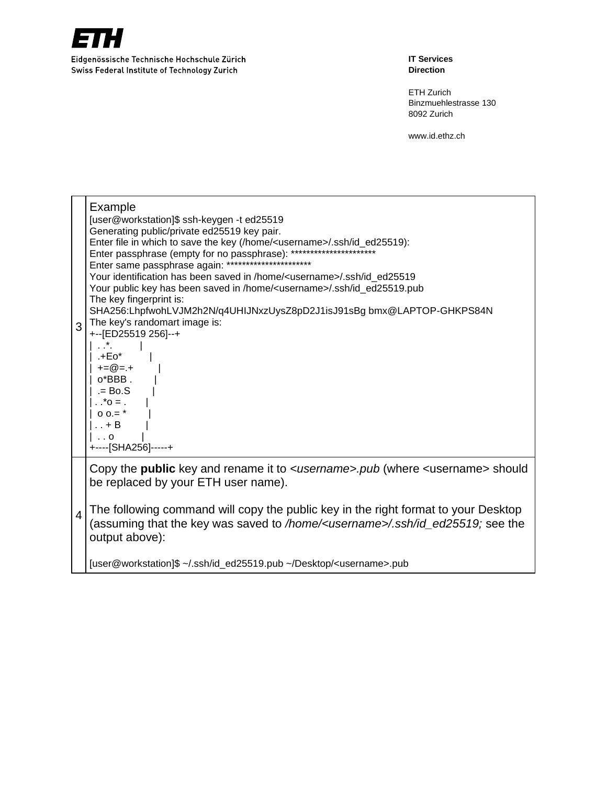

**IT Services Direction**

ETH Zurich Binzmuehlestrasse 130 8092 Zurich

| 3              | Example<br>[user@workstation]\$ ssh-keygen -t ed25519<br>Generating public/private ed25519 key pair.<br>Enter file in which to save the key (/home/ <username>/.ssh/id_ed25519):<br/>Enter passphrase (empty for no passphrase): **<br/>Enter same passphrase again: ***********************<br/>Your identification has been saved in /home/<username>/.ssh/id ed25519<br/>Your public key has been saved in /home/<username>/.ssh/id_ed25519.pub<br/>The key fingerprint is:<br/>SHA256:LhpfwohLVJM2h2N/q4UHIJNxzUysZ8pD2J1isJ91sBg bmx@LAPTOP-GHKPS84N<br/>The key's randomart image is:<br/>+--[ED25519 256]--+<br/>.+Eo*<br/><math>+=@=.+</math><br/>o*BBB.<br/><math>= Bo.S</math><br/><math>. = 0^*</math>.<br/><math>0.0 =</math>*<br/><math>\ldots + B</math><br/><math>\cdot</math> . 0<br/>+-----[SHA256]-----+</username></username></username> |
|----------------|-------------------------------------------------------------------------------------------------------------------------------------------------------------------------------------------------------------------------------------------------------------------------------------------------------------------------------------------------------------------------------------------------------------------------------------------------------------------------------------------------------------------------------------------------------------------------------------------------------------------------------------------------------------------------------------------------------------------------------------------------------------------------------------------------------------------------------------------------------------|
| $\overline{4}$ | Copy the <b>public</b> key and rename it to <username>.pub (where <username> should<br/>be replaced by your ETH user name).<br/>The following command will copy the public key in the right format to your Desktop<br/>(assuming that the key was saved to /home/<username>/.ssh/id_ed25519; see the<br/>output above):</username></username></username>                                                                                                                                                                                                                                                                                                                                                                                                                                                                                                    |
|                | [user@workstation]\$ ~/.ssh/id_ed25519.pub ~/Desktop/ <username>.pub</username>                                                                                                                                                                                                                                                                                                                                                                                                                                                                                                                                                                                                                                                                                                                                                                             |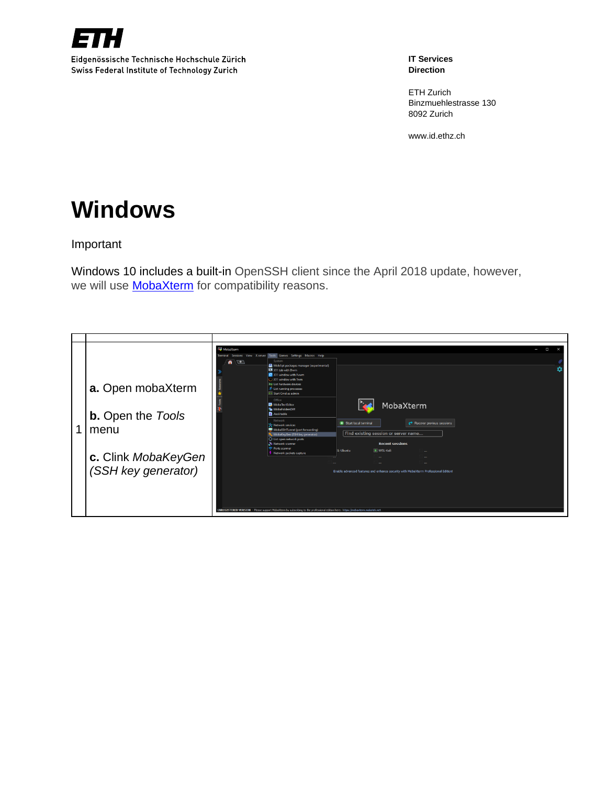

**IT Services Direction**

ETH Zurich Binzmuehlestrasse 130 8092 Zurich

www.id.ethz.ch

## **Windows**

Important

Windows 10 includes a built-in OpenSSH client since the April 2018 update, however, we will use **MobaXterm** for compatibility reasons.

|   |                          | MobaXterm<br>$\Box$<br>J<br>Terminal Sessions View Xserver Tools Games Settings Macros Help<br>$\bullet$ $\bullet$<br>System<br>MobApt packages manager (experimental)<br>XII tab with Dwm<br>X11 window with Fywm<br>1) X11 window with Twm<br><b>KB List hardware devices</b> |  |
|---|--------------------------|---------------------------------------------------------------------------------------------------------------------------------------------------------------------------------------------------------------------------------------------------------------------------------|--|
|   | a. Open mobaXterm        | <b>X</b> List running processes<br><b>RIN</b> Start Crnd as admin<br>Office<br>MobaXterm<br>MobaTextEditor                                                                                                                                                                      |  |
|   | <b>b.</b> Open the Tools | MobaFoldersDiff<br>Ascii table<br>Network                                                                                                                                                                                                                                       |  |
| 4 | menu                     | Start local terminal<br>Recover previous sessions<br>Se Network services<br>MobaSSHTunnel (port forwarding)                                                                                                                                                                     |  |
|   |                          | Find existing session or server name<br>MobaKeyGen (SSH key generator)<br>that List open network ports<br>Network scanner<br><b>Recent sessions</b>                                                                                                                             |  |
|   |                          | Ports scanner<br>V WSL-Kali<br>L-Ubuntu<br>Network packets capture                                                                                                                                                                                                              |  |
|   | c. Clink MobaKeyGen      |                                                                                                                                                                                                                                                                                 |  |
|   | (SSH key generator)      | Enable advanced features and enhance security with MobaXterm Professional Edition!                                                                                                                                                                                              |  |
|   |                          |                                                                                                                                                                                                                                                                                 |  |
|   |                          | UNREGISTERED VERSION - Please support Mobal/term by subscribing to the professional edition here: https://mobaxterm.mobatek.net                                                                                                                                                 |  |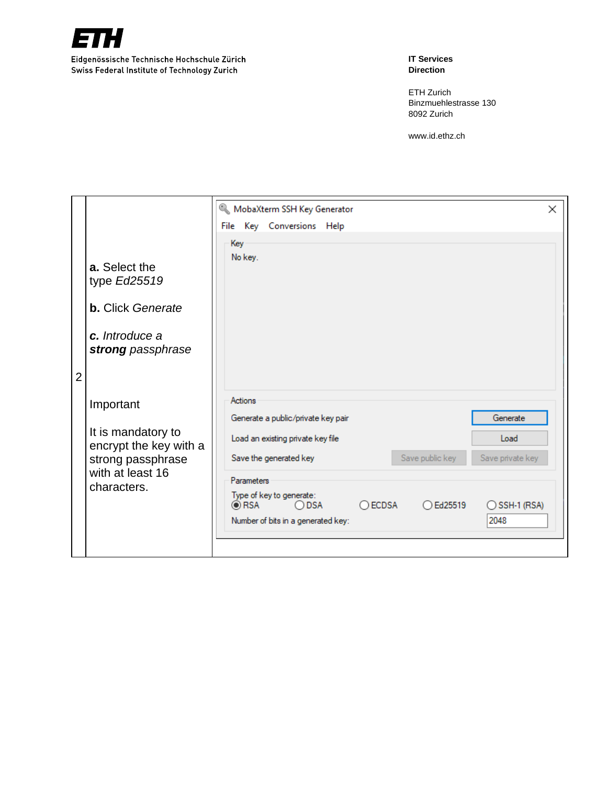

**IT Services Direction**

ETH Zurich Binzmuehlestrasse 130 8092 Zurich

|                |                                                                                                                   | MobaXterm SSH Key Generator                                                                                                                                                                                                                                                                                                                                        | × |
|----------------|-------------------------------------------------------------------------------------------------------------------|--------------------------------------------------------------------------------------------------------------------------------------------------------------------------------------------------------------------------------------------------------------------------------------------------------------------------------------------------------------------|---|
|                |                                                                                                                   | File Key Conversions Help                                                                                                                                                                                                                                                                                                                                          |   |
|                | a. Select the<br>type Ed25519<br><b>b.</b> Click Generate<br>c. Introduce a<br>strong passphrase                  | Key<br>No key.                                                                                                                                                                                                                                                                                                                                                     |   |
| $\overline{2}$ | Important<br>It is mandatory to<br>encrypt the key with a<br>strong passphrase<br>with at least 16<br>characters. | Actions<br>Generate<br>Generate a public/private key pair<br>Load<br>Load an existing private key file<br>Save public key<br>Save the generated key<br>Save private key<br><b>Parameters</b><br>Type of key to generate:<br>$\odot$ RSA<br>$\bigcirc$ ECDSA<br>◯ DSA<br>$\bigcirc$ Ed25519<br>$\bigcirc$ SSH-1 (RSA)<br>2048<br>Number of bits in a generated key: |   |
|                |                                                                                                                   |                                                                                                                                                                                                                                                                                                                                                                    |   |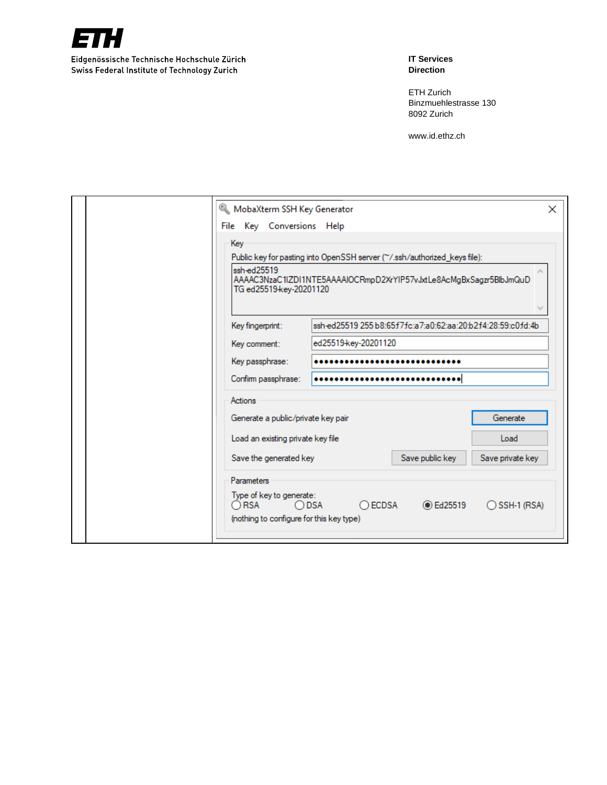

**IT Services Direction**

ETH Zurich Binzmuehlestrasse 130 8092 Zurich

| MobaXterm SSH Key Generator                                                                                            |                                                                                                                                                 |                                                             | ×                |
|------------------------------------------------------------------------------------------------------------------------|-------------------------------------------------------------------------------------------------------------------------------------------------|-------------------------------------------------------------|------------------|
| File Key Conversions Help                                                                                              |                                                                                                                                                 |                                                             |                  |
| Key<br>ssh-ed25519<br>TG ed25519-key-20201120                                                                          | Public key for pasting into OpenSSH server (~/.ssh/authorized_keys file):<br>AAAAC3NzaC1IZDI1NTE5AAAAIOCRmpD2XrYIP57vJxtLe8AcMgBxSagzr5BlbJmQuD |                                                             |                  |
|                                                                                                                        |                                                                                                                                                 |                                                             |                  |
| Key fingerprint:                                                                                                       |                                                                                                                                                 | ssh-ed25519 255 b8:65f7fc:a7:a0:62:aa:20:b2f4:28:59:c0fd:4b |                  |
| Key comment:                                                                                                           | ed25519-key-20201120                                                                                                                            |                                                             |                  |
| Key passphrase:                                                                                                        |                                                                                                                                                 |                                                             |                  |
| Confirm passphrase:                                                                                                    |                                                                                                                                                 |                                                             |                  |
| Actions                                                                                                                |                                                                                                                                                 |                                                             |                  |
| Generate a public/private key pair                                                                                     |                                                                                                                                                 |                                                             | Generate         |
| Load an existing private key file                                                                                      |                                                                                                                                                 |                                                             | Load             |
| Save the generated key                                                                                                 |                                                                                                                                                 | Save public key                                             | Save private key |
| Parameters<br>Type of key to generate:<br>$\bigcirc$ RSA<br>$\bigcirc$ DSA<br>(nothing to configure for this key type) | $\bigcirc$ ECDSA                                                                                                                                | <b>■ Ed25519</b>                                            | ◯ SSH-1 (RSA)    |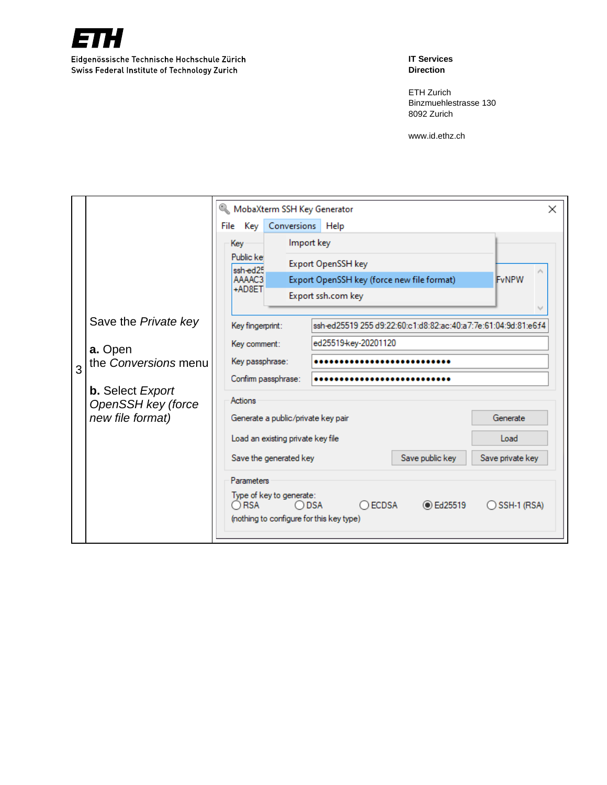

**IT Services Direction**

ETH Zurich Binzmuehlestrasse 130 8092 Zurich

|   |                                        |  |                                   |                     |                                                                                                                                               | MobaXterm SSH Key Generator<br>$\times$                        |  |  |  |  |
|---|----------------------------------------|--|-----------------------------------|---------------------|-----------------------------------------------------------------------------------------------------------------------------------------------|----------------------------------------------------------------|--|--|--|--|
|   |                                        |  | File Key Conversions Help         |                     |                                                                                                                                               |                                                                |  |  |  |  |
|   |                                        |  | Key                               |                     | Import key                                                                                                                                    |                                                                |  |  |  |  |
|   |                                        |  | Public ke<br>ssh-ed25             |                     |                                                                                                                                               | <b>Export OpenSSH key</b>                                      |  |  |  |  |
|   |                                        |  | AAAAC3                            |                     |                                                                                                                                               | Export OpenSSH key (force new file format)<br>FvNPW            |  |  |  |  |
|   |                                        |  | +AD8ET                            |                     |                                                                                                                                               | Export ssh.com key                                             |  |  |  |  |
|   |                                        |  |                                   |                     |                                                                                                                                               |                                                                |  |  |  |  |
|   | Save the <i>Private key</i>            |  | Key fingerprint:                  |                     |                                                                                                                                               | ssh-ed25519 255 d9:22:60:c1:d8:82:ac:40:a7:7e:61:04:9d:81:e6f4 |  |  |  |  |
|   | a. Open                                |  | Key comment:                      |                     | ed25519-key-20201120                                                                                                                          |                                                                |  |  |  |  |
|   | the Conversions menu                   |  | Key passphrase:                   |                     |                                                                                                                                               |                                                                |  |  |  |  |
| 3 |                                        |  |                                   | Confirm passphrase: |                                                                                                                                               |                                                                |  |  |  |  |
|   | <b>b.</b> Select <i>Export</i>         |  | Actions                           |                     |                                                                                                                                               |                                                                |  |  |  |  |
|   | OpenSSH key (force<br>new file format) |  |                                   |                     |                                                                                                                                               | Generate<br>Generate a public/private key pair                 |  |  |  |  |
|   |                                        |  |                                   |                     |                                                                                                                                               |                                                                |  |  |  |  |
|   |                                        |  | Load an existing private key file |                     |                                                                                                                                               | Load                                                           |  |  |  |  |
|   |                                        |  | Save the generated key            |                     |                                                                                                                                               | Save public key<br>Save private key                            |  |  |  |  |
|   |                                        |  | Parameters                        |                     |                                                                                                                                               |                                                                |  |  |  |  |
|   |                                        |  |                                   |                     | Type of key to generate:<br>$\bigcap$ RSA<br>○ ECDSA<br><b>■ Ed25519</b><br>◯ SSH-1 (RSA)<br>○DSA<br>(nothing to configure for this key type) |                                                                |  |  |  |  |
|   |                                        |  |                                   |                     |                                                                                                                                               |                                                                |  |  |  |  |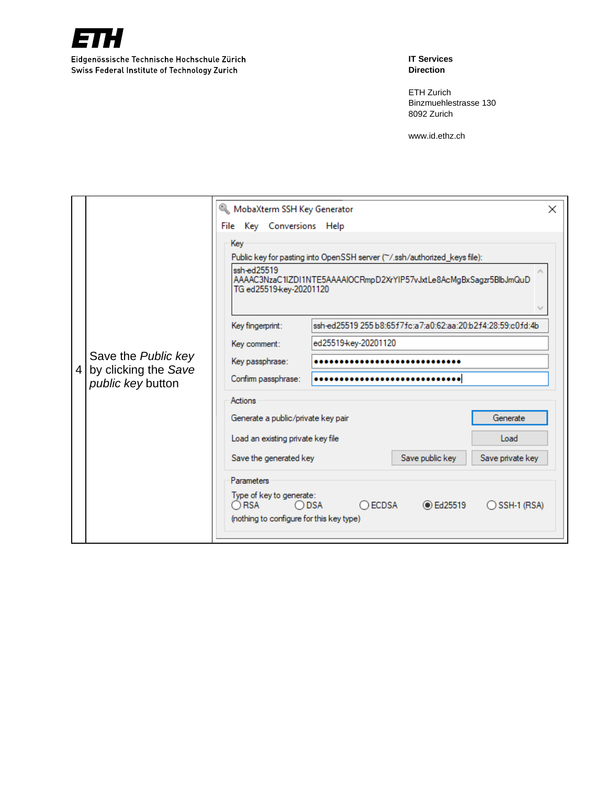

**IT Services Direction**

ETH Zurich Binzmuehlestrasse 130 8092 Zurich

|   |                      | MobaXterm SSH Key Generator                                                           |                                                                    | × |  |  |  |  |  |
|---|----------------------|---------------------------------------------------------------------------------------|--------------------------------------------------------------------|---|--|--|--|--|--|
|   |                      | File Key Conversions Help                                                             |                                                                    |   |  |  |  |  |  |
|   |                      | Key                                                                                   |                                                                    |   |  |  |  |  |  |
|   |                      | Public key for pasting into OpenSSH server (~/.ssh/authorized_keys file):             |                                                                    |   |  |  |  |  |  |
|   |                      | ssh-ed25519<br>TG ed25519-key-20201120                                                | AAAAC3NzaC1IZDI1NTE5AAAAIOCRmpD2XrYIP57vJxtLe8AcMgBxSagzr5BlbJmQuD |   |  |  |  |  |  |
|   |                      |                                                                                       |                                                                    |   |  |  |  |  |  |
|   |                      | Key fingerprint:                                                                      | ssh-ed25519 255 b8:65f7fc:a7:a0:62:aa:20:b2f4:28:59:c0fd:4b        |   |  |  |  |  |  |
|   |                      | Key comment:                                                                          | ed25519-key-20201120                                               |   |  |  |  |  |  |
|   | Save the Public key  | Key passphrase:                                                                       |                                                                    |   |  |  |  |  |  |
| 4 | by clicking the Save | Confirm passphrase:                                                                   |                                                                    |   |  |  |  |  |  |
|   | public key button    |                                                                                       |                                                                    |   |  |  |  |  |  |
|   |                      | Actions                                                                               |                                                                    |   |  |  |  |  |  |
|   |                      | Generate a public/private key pair                                                    | Generate                                                           |   |  |  |  |  |  |
|   |                      | Load an existing private key file                                                     | Load                                                               |   |  |  |  |  |  |
|   |                      | Save the generated key                                                                | Save public key<br>Save private key                                |   |  |  |  |  |  |
|   |                      | <b>Parameters</b>                                                                     |                                                                    |   |  |  |  |  |  |
|   |                      | Type of key to generate:<br>$\bigcap$ RSA<br>(nothing to configure for this key type) | $\bigcap$ ECDSA<br><b>■ Ed25519</b><br>ODSA<br>◯ SSH-1 (RSA)       |   |  |  |  |  |  |
|   |                      |                                                                                       |                                                                    |   |  |  |  |  |  |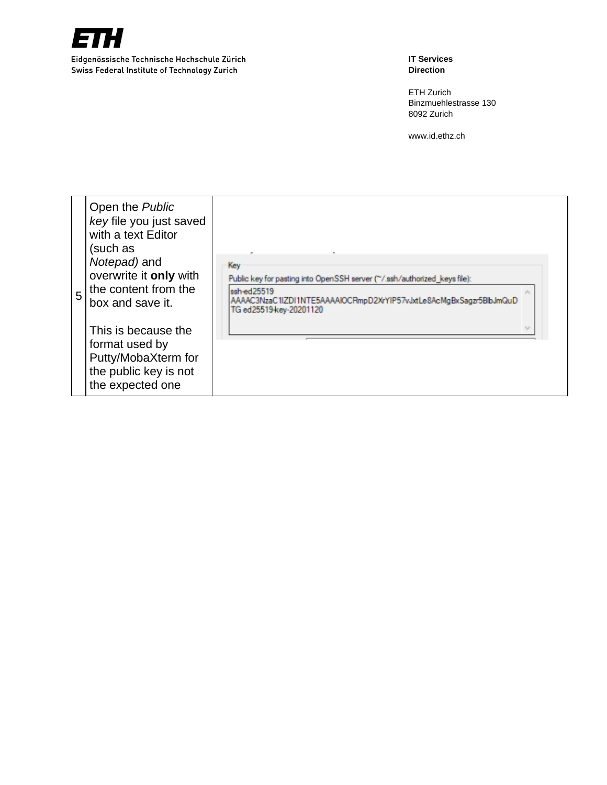

**IT Services Direction**

ETH Zurich Binzmuehlestrasse 130 8092 Z urich

| Open the Public<br>key file you just saved<br>with a text Editor<br>(such as<br>Notepad) and<br>overwrite it only with<br>the content from the<br>5<br>box and save it.<br>This is because the<br>format used by<br>Putty/MobaXterm for<br>the public key is not<br>the expected one | Key<br>Public key for pasting into OpenSSH server (~/.ssh/authorized_keys file):<br>ssh-ed25519<br>AAAAC3NzaC1IZDI1NTE5AAAAIOCRmpD2XrYIP57vJxtLe8AcMgBxSagzr5BlbJmQuD<br>TG ed25519-key-20201120 |  |
|--------------------------------------------------------------------------------------------------------------------------------------------------------------------------------------------------------------------------------------------------------------------------------------|--------------------------------------------------------------------------------------------------------------------------------------------------------------------------------------------------|--|
|--------------------------------------------------------------------------------------------------------------------------------------------------------------------------------------------------------------------------------------------------------------------------------------|--------------------------------------------------------------------------------------------------------------------------------------------------------------------------------------------------|--|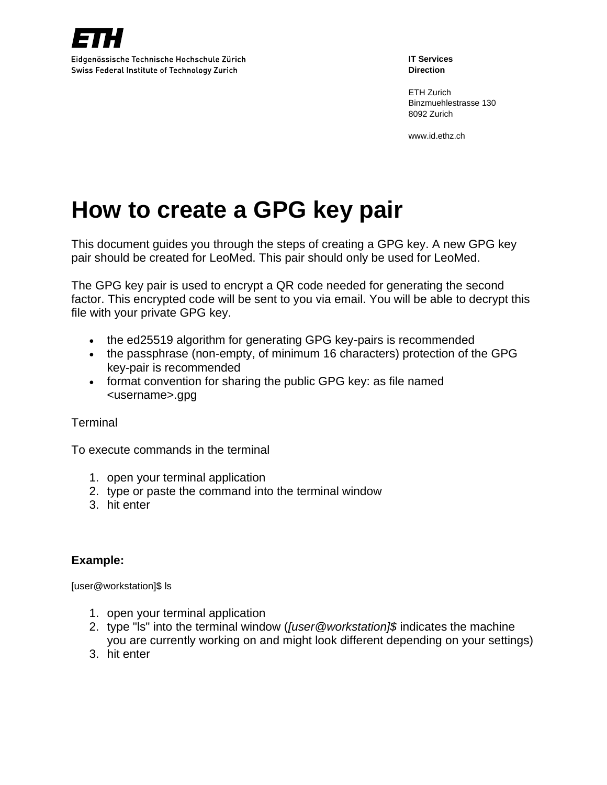

ETH Zurich Binzmuehlestrasse 130 8092 Zurich

www.id.ethz.ch

## **How to create a GPG key pair**

This document guides you through the steps of creating a GPG key. A new GPG key pair should be created for LeoMed. This pair should only be used for LeoMed.

The GPG key pair is used to encrypt a QR code needed for generating the second factor. This encrypted code will be sent to you via email. You will be able to decrypt this file with your private GPG key.

- the ed25519 algorithm for generating GPG key-pairs is recommended
- the passphrase (non-empty, of minimum 16 characters) protection of the GPG key-pair is recommended
- format convention for sharing the public GPG key: as file named <username>.gpg

### **Terminal**

To execute commands in the terminal

- 1. open your terminal application
- 2. type or paste the command into the terminal window
- 3. hit enter

### **Example:**

[user@workstation]\$ ls

- 1. open your terminal application
- 2. type "ls" into the terminal window (*[user@workstation]\$* indicates the machine you are currently working on and might look different depending on your settings)
- 3. hit enter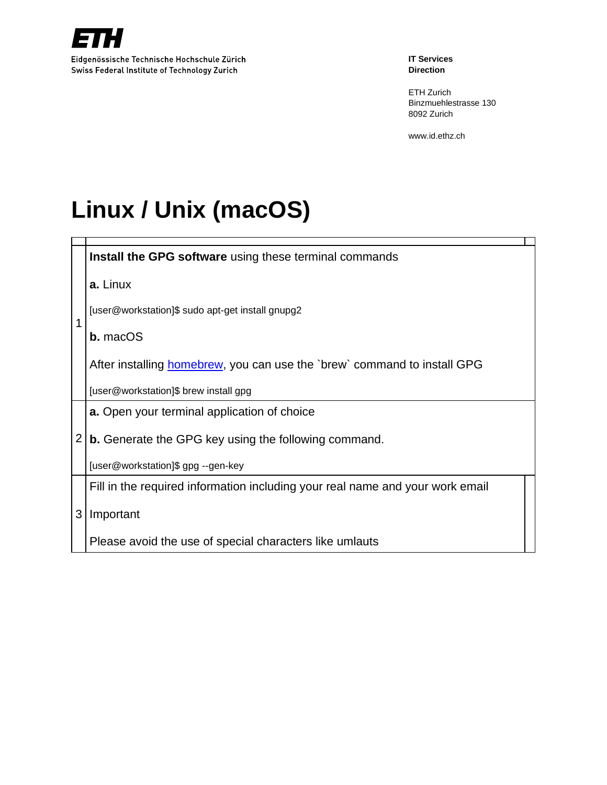

ETH Zurich Binzmuehlestrasse 130 8092 Zurich

www.id.ethz.ch

# **Linux / Unix (macOS)**

|   | Install the GPG software using these terminal commands                           |  |  |  |  |  |
|---|----------------------------------------------------------------------------------|--|--|--|--|--|
|   | a. Linux                                                                         |  |  |  |  |  |
| 1 | [user@workstation]\$ sudo apt-get install gnupg2                                 |  |  |  |  |  |
|   | <b>b.</b> macOS                                                                  |  |  |  |  |  |
|   | After installing <b>homebrew</b> , you can use the `brew` command to install GPG |  |  |  |  |  |
|   | [user@workstation]\$ brew install gpg                                            |  |  |  |  |  |
|   | <b>a.</b> Open your terminal application of choice                               |  |  |  |  |  |
| 2 | <b>b.</b> Generate the GPG key using the following command.                      |  |  |  |  |  |
|   | [user@workstation]\$ gpg --gen-key                                               |  |  |  |  |  |
|   | Fill in the required information including your real name and your work email    |  |  |  |  |  |
| 3 | Important                                                                        |  |  |  |  |  |
|   | Please avoid the use of special characters like umlauts                          |  |  |  |  |  |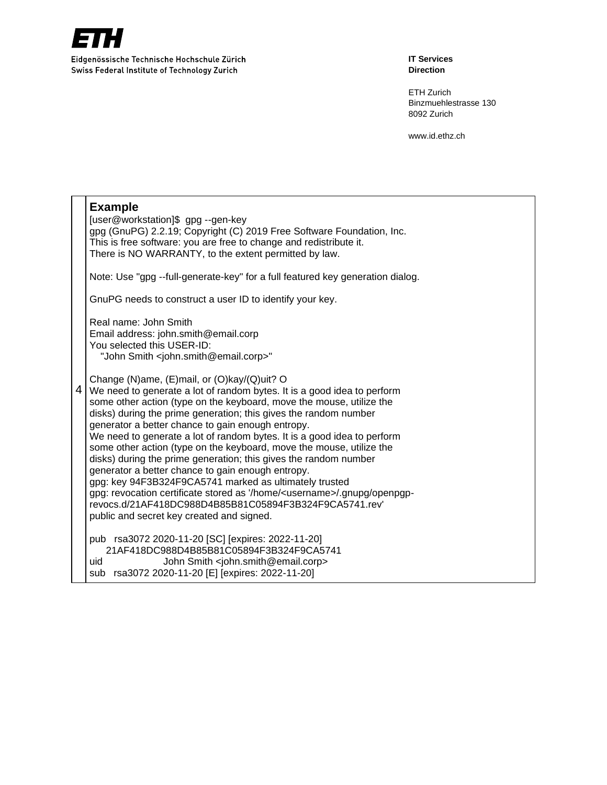

**IT Services Direction**

ETH Zurich Binzmuehlestrasse 130 8092 Zurich

|   | <b>Example</b><br>[user@workstation]\$ gpg --gen-key<br>gpg (GnuPG) 2.2.19; Copyright (C) 2019 Free Software Foundation, Inc.<br>This is free software: you are free to change and redistribute it.<br>There is NO WARRANTY, to the extent permitted by law.                                                                                                                                                                                                                                                                                                                                                                                                                                                                                                                                                                                                  |
|---|---------------------------------------------------------------------------------------------------------------------------------------------------------------------------------------------------------------------------------------------------------------------------------------------------------------------------------------------------------------------------------------------------------------------------------------------------------------------------------------------------------------------------------------------------------------------------------------------------------------------------------------------------------------------------------------------------------------------------------------------------------------------------------------------------------------------------------------------------------------|
|   | Note: Use "gpg --full-generate-key" for a full featured key generation dialog.                                                                                                                                                                                                                                                                                                                                                                                                                                                                                                                                                                                                                                                                                                                                                                                |
|   | GnuPG needs to construct a user ID to identify your key.                                                                                                                                                                                                                                                                                                                                                                                                                                                                                                                                                                                                                                                                                                                                                                                                      |
|   | Real name: John Smith<br>Email address: john.smith@email.corp<br>You selected this USER-ID:<br>"John Smith <john.smith@email.corp>"</john.smith@email.corp>                                                                                                                                                                                                                                                                                                                                                                                                                                                                                                                                                                                                                                                                                                   |
| 4 | Change (N)ame, (E)mail, or (O)kay/(Q)uit? O<br>We need to generate a lot of random bytes. It is a good idea to perform<br>some other action (type on the keyboard, move the mouse, utilize the<br>disks) during the prime generation; this gives the random number<br>generator a better chance to gain enough entropy.<br>We need to generate a lot of random bytes. It is a good idea to perform<br>some other action (type on the keyboard, move the mouse, utilize the<br>disks) during the prime generation; this gives the random number<br>generator a better chance to gain enough entropy.<br>gpg: key 94F3B324F9CA5741 marked as ultimately trusted<br>gpg: revocation certificate stored as '/home/ <username>/.gnupg/openpgp-<br/>revocs.d/21AF418DC988D4B85B81C05894F3B324F9CA5741.rev'<br/>public and secret key created and signed.</username> |
|   | pub rsa3072 2020-11-20 [SC] [expires: 2022-11-20]<br>21AF418DC988D4B85B81C05894F3B324F9CA5741<br>John Smith <john.smith@email.corp><br/>uid<br/>sub rsa3072 2020-11-20 [E] [expires: 2022-11-20]</john.smith@email.corp>                                                                                                                                                                                                                                                                                                                                                                                                                                                                                                                                                                                                                                      |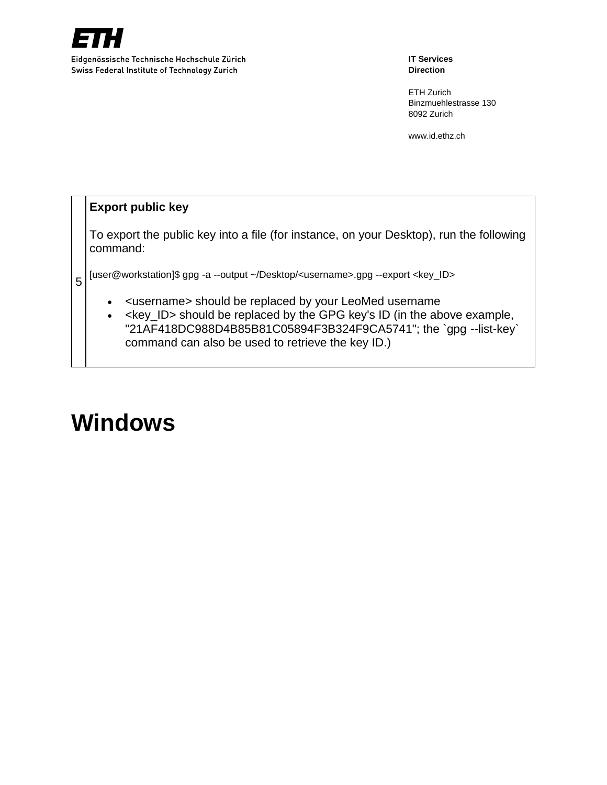

Swiss Federal Institute of Technology Zurich

**IT Services Direction**

ETH Zurich Binzmuehlestrasse 130 8092 Zurich

www.id.ethz.ch

## **Export public key**

5

To export the public key into a file (for instance, on your Desktop), run the following command:

[user@workstation]\$ gpg -a --output ~/Desktop/<username>.gpg --export <key\_ID>

- <username> should be replaced by your LeoMed username
- <key\_ID> should be replaced by the GPG key's ID (in the above example, "21AF418DC988D4B85B81C05894F3B324F9CA5741"; the `gpg --list-key` command can also be used to retrieve the key ID.)

## **Windows**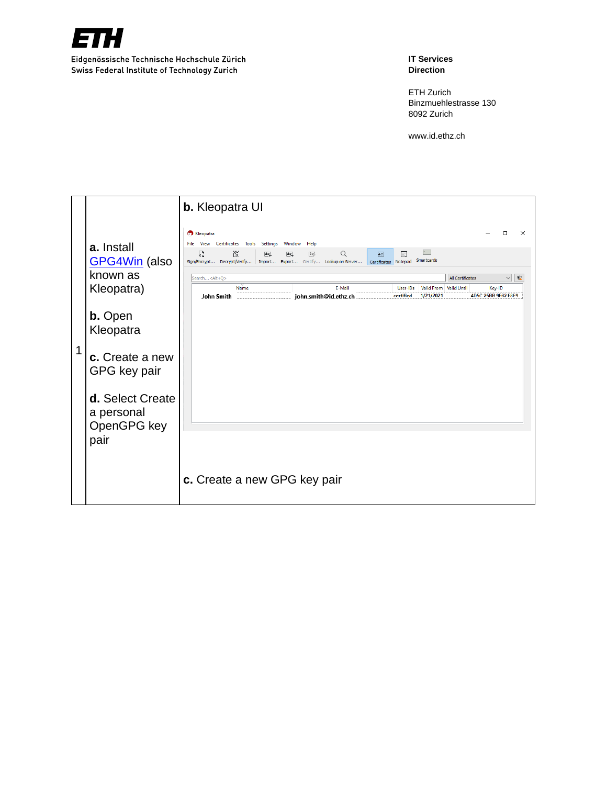

### **IT Services Direction**

ETH Zurich Binzmuehlestrasse 130 8092 Zurich

|   |                                                              | <b>b.</b> Kleopatra UI                                                                                                                                                                                                                                                                                                                                                                                                                                                                                                                                                                                           |
|---|--------------------------------------------------------------|------------------------------------------------------------------------------------------------------------------------------------------------------------------------------------------------------------------------------------------------------------------------------------------------------------------------------------------------------------------------------------------------------------------------------------------------------------------------------------------------------------------------------------------------------------------------------------------------------------------|
|   | a. Install<br><b>GPG4Win</b> (also<br>known as<br>Kleopatra) | <b>C</b> Kleopatra<br>□<br>$\times$<br>File View Certificates Tools Settings<br>Window<br>Help<br>$\alpha$<br>Ϊä<br>$\nabla$<br>Q<br>$\mathbb{H}$<br>$\mathbb{A}^{\pm 1}_\mathbb{Z}$<br>$\overline{\mathbf{A} \overline{\mathbf{w}}}$<br>圁<br>鷗<br>Smartcards<br>Sign/Encrypt Decrypt/Verify Import Export Certify Lookup on Server<br>Certificates Notepad<br><b>All Certificates</b><br>$\backsim$<br>$\sqrt{a}$<br>Search <alt+q><br/>E-Mail<br/>Valid From Valid Until<br/>Name<br/>User-IDs<br/>Key-ID<br/>1/21/2021<br/>4D5C 25BB 9F62 F8E9<br/>john.smith@id.ethz.ch<br/>certified<br/>John Smith</alt+q> |
|   | <b>b.</b> Open<br>Kleopatra                                  |                                                                                                                                                                                                                                                                                                                                                                                                                                                                                                                                                                                                                  |
| 1 | c. Create a new<br>GPG key pair                              |                                                                                                                                                                                                                                                                                                                                                                                                                                                                                                                                                                                                                  |
|   | d. Select Create<br>a personal<br>OpenGPG key                |                                                                                                                                                                                                                                                                                                                                                                                                                                                                                                                                                                                                                  |
|   | pair                                                         |                                                                                                                                                                                                                                                                                                                                                                                                                                                                                                                                                                                                                  |
|   |                                                              | c. Create a new GPG key pair                                                                                                                                                                                                                                                                                                                                                                                                                                                                                                                                                                                     |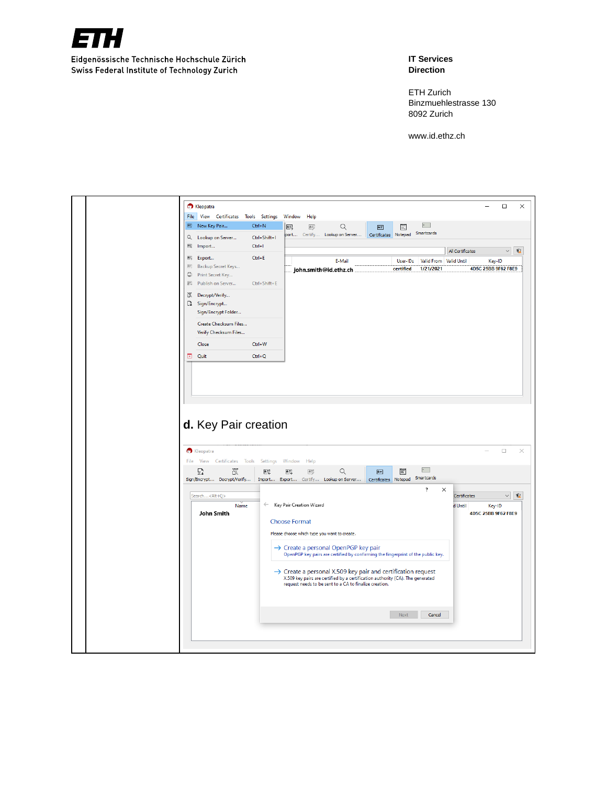

**IT Services Direction**

ETH Zurich Binzmuehlestrasse 130 8092 Zurich

|                                         |                                                                                                                                                                                                                                                        |                                                                                             |                                                                                                                                             |                                          |                                                                                                                                                            |                       |                                |                      |          |                         |                        | □                | ×                             |
|-----------------------------------------|--------------------------------------------------------------------------------------------------------------------------------------------------------------------------------------------------------------------------------------------------------|---------------------------------------------------------------------------------------------|---------------------------------------------------------------------------------------------------------------------------------------------|------------------------------------------|------------------------------------------------------------------------------------------------------------------------------------------------------------|-----------------------|--------------------------------|----------------------|----------|-------------------------|------------------------|------------------|-------------------------------|
| <b>C</b> Kleopatra                      |                                                                                                                                                                                                                                                        |                                                                                             |                                                                                                                                             |                                          |                                                                                                                                                            |                       |                                |                      |          |                         |                        |                  |                               |
|                                         |                                                                                                                                                                                                                                                        |                                                                                             | 鷗                                                                                                                                           | 号                                        | Q                                                                                                                                                          | 画                     | 圁                              |                      |          |                         |                        |                  |                               |
|                                         |                                                                                                                                                                                                                                                        |                                                                                             |                                                                                                                                             |                                          |                                                                                                                                                            |                       |                                |                      |          |                         |                        |                  |                               |
| Import                                  |                                                                                                                                                                                                                                                        |                                                                                             |                                                                                                                                             |                                          |                                                                                                                                                            |                       |                                |                      |          |                         |                        |                  | $\vee$<br>û                   |
|                                         |                                                                                                                                                                                                                                                        |                                                                                             |                                                                                                                                             |                                          | E-Mail                                                                                                                                                     |                       |                                |                      |          |                         |                        |                  |                               |
|                                         |                                                                                                                                                                                                                                                        |                                                                                             |                                                                                                                                             |                                          |                                                                                                                                                            |                       | certified                      |                      |          |                         |                        |                  |                               |
| Publish on Server                       |                                                                                                                                                                                                                                                        |                                                                                             |                                                                                                                                             |                                          |                                                                                                                                                            |                       |                                |                      |          |                         |                        |                  |                               |
|                                         |                                                                                                                                                                                                                                                        |                                                                                             |                                                                                                                                             |                                          |                                                                                                                                                            |                       |                                |                      |          |                         |                        |                  |                               |
|                                         |                                                                                                                                                                                                                                                        |                                                                                             |                                                                                                                                             |                                          |                                                                                                                                                            |                       |                                |                      |          |                         |                        |                  |                               |
|                                         |                                                                                                                                                                                                                                                        |                                                                                             |                                                                                                                                             |                                          |                                                                                                                                                            |                       |                                |                      |          |                         |                        |                  |                               |
|                                         |                                                                                                                                                                                                                                                        |                                                                                             |                                                                                                                                             |                                          |                                                                                                                                                            |                       |                                |                      |          |                         |                        |                  |                               |
|                                         |                                                                                                                                                                                                                                                        |                                                                                             |                                                                                                                                             |                                          |                                                                                                                                                            |                       |                                |                      |          |                         |                        |                  |                               |
|                                         |                                                                                                                                                                                                                                                        |                                                                                             |                                                                                                                                             |                                          |                                                                                                                                                            |                       |                                |                      |          |                         |                        |                  |                               |
|                                         |                                                                                                                                                                                                                                                        |                                                                                             |                                                                                                                                             |                                          |                                                                                                                                                            |                       |                                |                      |          |                         |                        |                  |                               |
| d. Key Pair creation                    |                                                                                                                                                                                                                                                        |                                                                                             |                                                                                                                                             |                                          |                                                                                                                                                            |                       |                                |                      |          |                         |                        |                  |                               |
| <b>C</b> Kleopatra                      |                                                                                                                                                                                                                                                        |                                                                                             |                                                                                                                                             |                                          |                                                                                                                                                            |                       |                                |                      |          |                         |                        | $\Box$           |                               |
| File<br>View<br>Certificates<br>ľ.<br>릂 | Tools                                                                                                                                                                                                                                                  | Settings<br>配                                                                               | Window<br>邑                                                                                                                                 | Help<br>$\triangleq \overline{\omega}_p$ | Q                                                                                                                                                          | $\boxed{4}$           | 圁                              | $\bullet$            |          |                         |                        |                  |                               |
| Sign/Encrypt Decrypt/Verify             |                                                                                                                                                                                                                                                        |                                                                                             |                                                                                                                                             |                                          | Import Export Certify Lookup on Server                                                                                                                     |                       | Certificates Notepad           | Smartcards           |          |                         |                        |                  |                               |
| Search <alt+q></alt+q>                  |                                                                                                                                                                                                                                                        |                                                                                             |                                                                                                                                             |                                          |                                                                                                                                                            |                       |                                | ?                    | $\times$ | Certificates            |                        | $\backsim$       |                               |
|                                         | Name                                                                                                                                                                                                                                                   | $\leftarrow$                                                                                | Key Pair Creation Wizard                                                                                                                    |                                          |                                                                                                                                                            |                       |                                |                      |          | d Until                 |                        | Key-ID           |                               |
| John Smith                              |                                                                                                                                                                                                                                                        |                                                                                             |                                                                                                                                             |                                          |                                                                                                                                                            |                       |                                |                      |          |                         | 4D5C 25BB 9F62 F8E9    |                  |                               |
|                                         |                                                                                                                                                                                                                                                        |                                                                                             | <b>Choose Format</b>                                                                                                                        |                                          | Please choose which type you want to create.                                                                                                               |                       |                                |                      |          |                         |                        |                  |                               |
|                                         |                                                                                                                                                                                                                                                        |                                                                                             |                                                                                                                                             |                                          |                                                                                                                                                            |                       |                                |                      |          |                         |                        |                  |                               |
|                                         |                                                                                                                                                                                                                                                        |                                                                                             |                                                                                                                                             |                                          | → Create a personal OpenPGP key pair<br>OpenPGP key pairs are certified by confirming the fingerprint of the public key.                                   |                       |                                |                      |          |                         |                        |                  |                               |
|                                         |                                                                                                                                                                                                                                                        |                                                                                             |                                                                                                                                             |                                          |                                                                                                                                                            |                       |                                |                      |          |                         |                        |                  |                               |
|                                         |                                                                                                                                                                                                                                                        |                                                                                             |                                                                                                                                             |                                          | $\rightarrow$ Create a personal X.509 key pair and certification request<br>X.509 key pairs are certified by a certification authority (CA). The generated |                       |                                |                      |          |                         |                        |                  |                               |
|                                         |                                                                                                                                                                                                                                                        |                                                                                             |                                                                                                                                             |                                          | request needs to be sent to a CA to finalize creation.                                                                                                     |                       |                                |                      |          |                         |                        |                  |                               |
|                                         |                                                                                                                                                                                                                                                        |                                                                                             |                                                                                                                                             |                                          |                                                                                                                                                            |                       |                                |                      |          |                         |                        |                  | $\times$<br>$\P$              |
|                                         |                                                                                                                                                                                                                                                        |                                                                                             |                                                                                                                                             |                                          |                                                                                                                                                            |                       | Next                           | Cancel               |          |                         |                        |                  |                               |
| ₿                                       | 图 New Key Pair<br>Q Lookup on Server<br>$\overline{\mathbf{e}}$<br>图 Export<br>$\stackrel{\scriptstyle \leftarrow}{\scriptstyle \leftarrow}$<br>Print Secret Key<br>$\frac{2\pi}{6-2}$<br>io Decrypt/Verify<br>Sign/Encrypt<br>Close<br><b>El</b> Quit | Backup Secret Keys<br>Sign/Encrypt Folder<br>Create Checksum Files<br>Verify Checksum Files | File View Certificates Tools Settings<br>$Ctrl + N$<br>Ctrl+Shift+I<br>$Ctrl + I$<br>$Ctrl + E$<br>Ctrl+Shift+E<br>$Ctrl + W$<br>$Ctrl + Q$ | Window                                   | Help                                                                                                                                                       | john.smith@id.ethz.ch | tport Certify Lookup on Server | Certificates Notepad | User-IDs | Smartcards<br>1/21/2021 | Valid From Valid Until | All Certificates | Key-ID<br>4D5C 25BB 9F62 F8E9 |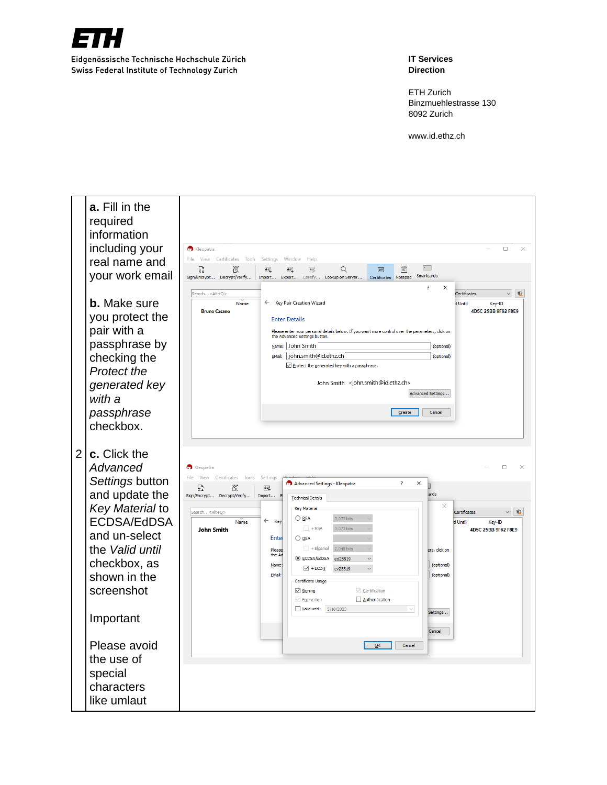

**IT Services Direction**

ETH Zurich Binzmuehlestrasse 130 8092 Z urich

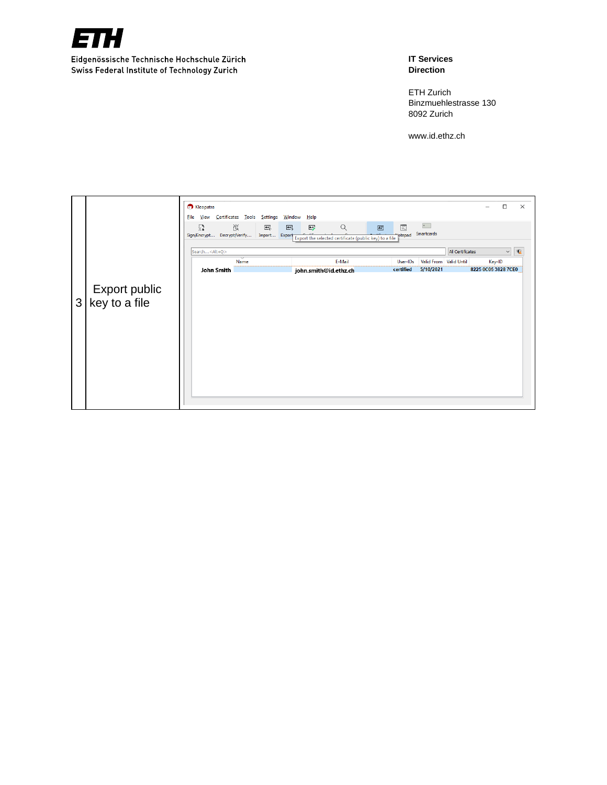

### **IT Services Direction**

ETH Zurich Binzmuehlestrasse 130 8092 Zurich

|   |                                | <b>C</b> Kleopatra<br>File View Certificates Tools Settings | <b>Window</b><br>Help                   |                                                                                               |                                      |                        |                     | □            | $\times$   |
|---|--------------------------------|-------------------------------------------------------------|-----------------------------------------|-----------------------------------------------------------------------------------------------|--------------------------------------|------------------------|---------------------|--------------|------------|
|   |                                | 巡<br>扇<br>Sign/Encrypt Decrypt/Verify                       | 壓<br>鸟<br>$\mathbb{E}$<br>Import Export | $\alpha$<br>$\boxed{\Delta \equiv}$<br>Export the selected certificate (public key) to a file | $\sim$<br>圁<br>Smartcards<br>"ptepad |                        |                     |              |            |
|   |                                | Search <alt+q></alt+q>                                      |                                         |                                                                                               |                                      | All Certificates       |                     | $\checkmark$ | $\sqrt{a}$ |
|   |                                | Name                                                        |                                         | E-Mail                                                                                        | User-IDs                             | Valid From Valid Until | Key-ID              |              |            |
|   |                                | John Smith                                                  |                                         | john.smith@id.ethz.ch                                                                         | certified                            | 5/10/2021              | 8225 0C05 3828 7CE0 |              |            |
| 3 | Export public<br>key to a file |                                                             |                                         |                                                                                               |                                      |                        |                     |              |            |